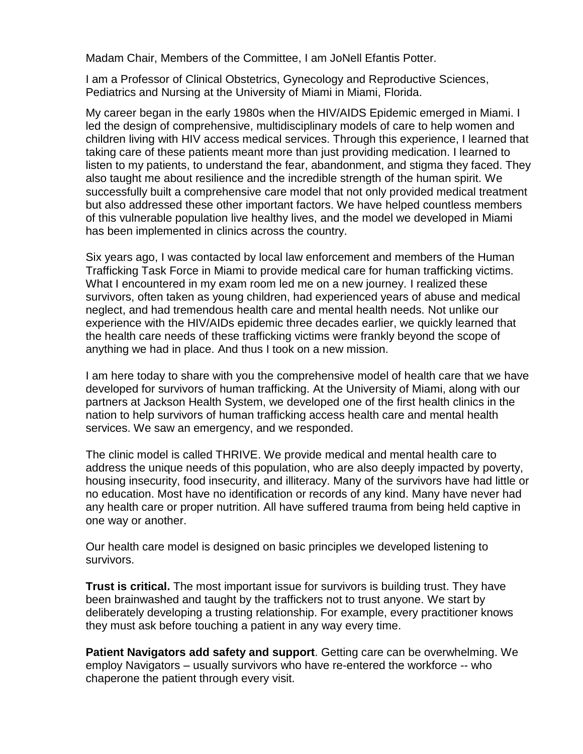Madam Chair, Members of the Committee, I am JoNell Efantis Potter.

I am a Professor of Clinical Obstetrics, Gynecology and Reproductive Sciences, Pediatrics and Nursing at the University of Miami in Miami, Florida.

My career began in the early 1980s when the HIV/AIDS Epidemic emerged in Miami. I led the design of comprehensive, multidisciplinary models of care to help women and children living with HIV access medical services. Through this experience, I learned that taking care of these patients meant more than just providing medication. I learned to listen to my patients, to understand the fear, abandonment, and stigma they faced. They also taught me about resilience and the incredible strength of the human spirit. We successfully built a comprehensive care model that not only provided medical treatment but also addressed these other important factors. We have helped countless members of this vulnerable population live healthy lives, and the model we developed in Miami has been implemented in clinics across the country.

Six years ago, I was contacted by local law enforcement and members of the Human Trafficking Task Force in Miami to provide medical care for human trafficking victims. What I encountered in my exam room led me on a new journey. I realized these survivors, often taken as young children, had experienced years of abuse and medical neglect, and had tremendous health care and mental health needs. Not unlike our experience with the HIV/AIDs epidemic three decades earlier, we quickly learned that the health care needs of these trafficking victims were frankly beyond the scope of anything we had in place. And thus I took on a new mission.

I am here today to share with you the comprehensive model of health care that we have developed for survivors of human trafficking. At the University of Miami, along with our partners at Jackson Health System, we developed one of the first health clinics in the nation to help survivors of human trafficking access health care and mental health services. We saw an emergency, and we responded.

The clinic model is called THRIVE. We provide medical and mental health care to address the unique needs of this population, who are also deeply impacted by poverty, housing insecurity, food insecurity, and illiteracy. Many of the survivors have had little or no education. Most have no identification or records of any kind. Many have never had any health care or proper nutrition. All have suffered trauma from being held captive in one way or another.

Our health care model is designed on basic principles we developed listening to survivors.

**Trust is critical.** The most important issue for survivors is building trust. They have been brainwashed and taught by the traffickers not to trust anyone. We start by deliberately developing a trusting relationship. For example, every practitioner knows they must ask before touching a patient in any way every time.

**Patient Navigators add safety and support**. Getting care can be overwhelming. We employ Navigators – usually survivors who have re-entered the workforce -- who chaperone the patient through every visit.